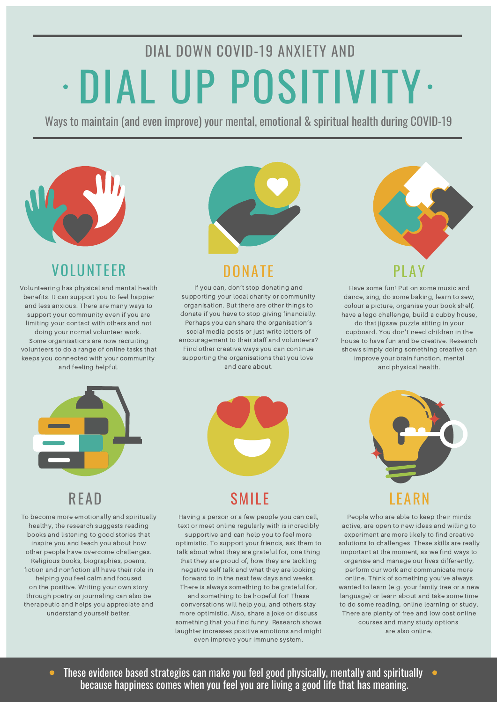# DIAL DOWN COVID-19 ANXIETY AND DIAL UP POSITIVITY • •

Ways to maintain (and even improve) your mental, emotional & spiritual health during COVID-19



### VOLUNTEER

Volunteering has physical and mental health benefits. It can support you to feel happier and less anxious. There are many ways to support your community even if you are limiting your contact with others and not doing your normal volunteer work. Some organisations are now recruiting volunteers to do a range of online tasks that keeps you connected with your community and feeling helpful.



### DONATE

If you can, don't stop donating and supporting your local charity or community organisation. But there are other things to donate if you have to stop giving financially. Perhaps you can share the organisation's social media posts or just write letters of encouragement to their staff and volunteers? Find other creative ways you can continue supporting the organisations that you love and care about.



Have some fun! Put on some music and dance, sing, do some baking, learn to sew, colour a picture, organise your book shelf, have a lego challenge, build a cubby house, do that jigsaw puzzle sitting in your cupboard. You don't need children in the house to have fun and be creative. Research shows simply doing something creative can improve your brain function, mental and physical health.



To become more emotionally and spiritually healthy, the research suggests reading books and listening to good stories that inspire you and teach you about how other people have overcome challenges. Religious books, biographies, poems, fiction and nonfiction all have their role in helping you feel calm and focused on the positive. Writing your own story through poetry or journaling can also be therapeutic and helps you appreciate and understand yourself better.



Having a person or a few people you can call, text or meet online regularly with is incredibly supportive and can help you to feel more optimistic. To support your friends, ask them to talk about what they are grateful for, one thing that they are proud of, how they are tackling negative self talk and what they are looking forward to in the next few days and weeks. There is always something to be grateful for,

and something to be hopeful for! These conversations will help you, and others stay more optimistic. Also, share a joke or discuss something that you find funny. Research shows laughter increases positive emotions and might even improve your immune system.



People who are able to keep their minds active, are open to new ideas and willing to experiment are more likely to find creative solutions to challenges. These skills are really important at the moment, as we find ways to organise and manage our lives differently, perform our work and communicate more online. Think of something you've always wanted to learn (e.g. your family tree or a new language) or learn about and take some time to do some reading, online learning or study. There are plenty of free and low cost online courses and many study options are also online.